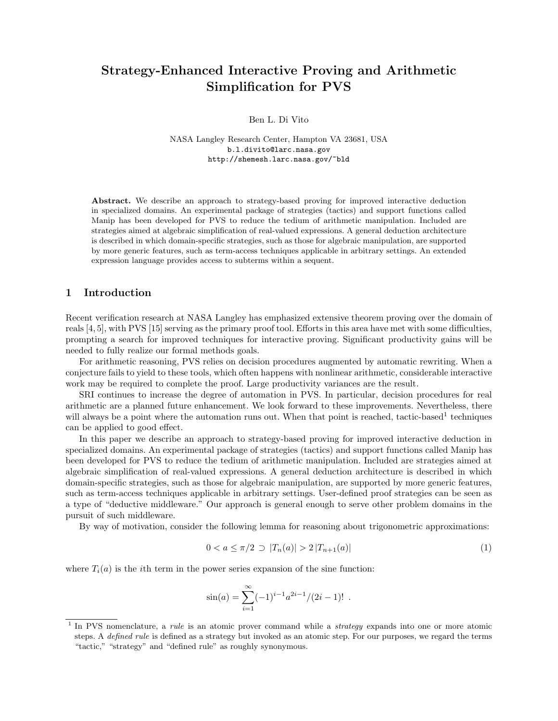# Strategy-Enhanced Interactive Proving and Arithmetic Simplification for PVS

Ben L. Di Vito

NASA Langley Research Center, Hampton VA 23681, USA b.l.divito@larc.nasa.gov http://shemesh.larc.nasa.gov/~bld

Abstract. We describe an approach to strategy-based proving for improved interactive deduction in specialized domains. An experimental package of strategies (tactics) and support functions called Manip has been developed for PVS to reduce the tedium of arithmetic manipulation. Included are strategies aimed at algebraic simplification of real-valued expressions. A general deduction architecture is described in which domain-specific strategies, such as those for algebraic manipulation, are supported by more generic features, such as term-access techniques applicable in arbitrary settings. An extended expression language provides access to subterms within a sequent.

## 1 Introduction

Recent verification research at NASA Langley has emphasized extensive theorem proving over the domain of reals [4, 5], with PVS [15] serving as the primary proof tool. Efforts in this area have met with some difficulties, prompting a search for improved techniques for interactive proving. Significant productivity gains will be needed to fully realize our formal methods goals.

For arithmetic reasoning, PVS relies on decision procedures augmented by automatic rewriting. When a conjecture fails to yield to these tools, which often happens with nonlinear arithmetic, considerable interactive work may be required to complete the proof. Large productivity variances are the result.

SRI continues to increase the degree of automation in PVS. In particular, decision procedures for real arithmetic are a planned future enhancement. We look forward to these improvements. Nevertheless, there will always be a point where the automation runs out. When that point is reached, tactic-based<sup>1</sup> techniques can be applied to good effect.

In this paper we describe an approach to strategy-based proving for improved interactive deduction in specialized domains. An experimental package of strategies (tactics) and support functions called Manip has been developed for PVS to reduce the tedium of arithmetic manipulation. Included are strategies aimed at algebraic simplification of real-valued expressions. A general deduction architecture is described in which domain-specific strategies, such as those for algebraic manipulation, are supported by more generic features, such as term-access techniques applicable in arbitrary settings. User-defined proof strategies can be seen as a type of "deductive middleware." Our approach is general enough to serve other problem domains in the pursuit of such middleware.

By way of motivation, consider the following lemma for reasoning about trigonometric approximations:

$$
0 < a \le \pi/2 \supset |T_n(a)| > 2|T_{n+1}(a)| \tag{1}
$$

where  $T_i(a)$  is the *i*th term in the power series expansion of the sine function:

$$
\sin(a) = \sum_{i=1}^{\infty} (-1)^{i-1} a^{2i-1} / (2i-1)!
$$
.

<sup>&</sup>lt;sup>1</sup> In PVS nomenclature, a *rule* is an atomic prover command while a *strategy* expands into one or more atomic steps. A defined rule is defined as a strategy but invoked as an atomic step. For our purposes, we regard the terms "tactic," "strategy" and "defined rule" as roughly synonymous.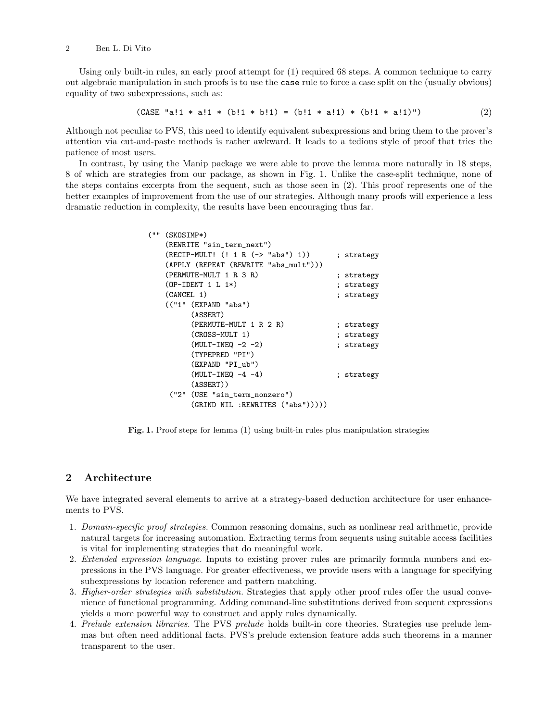#### 2 Ben L. Di Vito

Using only built-in rules, an early proof attempt for (1) required 68 steps. A common technique to carry out algebraic manipulation in such proofs is to use the case rule to force a case split on the (usually obvious) equality of two subexpressions, such as:

(CASE "a!1 \* a!1 \* (b!1 \* b!1) = (b!1 \* a!1) \* (b!1 \* a!1)") 
$$
(2)
$$

Although not peculiar to PVS, this need to identify equivalent subexpressions and bring them to the prover's attention via cut-and-paste methods is rather awkward. It leads to a tedious style of proof that tries the patience of most users.

In contrast, by using the Manip package we were able to prove the lemma more naturally in 18 steps, 8 of which are strategies from our package, as shown in Fig. 1. Unlike the case-split technique, none of the steps contains excerpts from the sequent, such as those seen in (2). This proof represents one of the better examples of improvement from the use of our strategies. Although many proofs will experience a less dramatic reduction in complexity, the results have been encouraging thus far.

| (11.11) | $(SKOSTMP*)$              |                                       |  |            |
|---------|---------------------------|---------------------------------------|--|------------|
|         | (REWRITE "sin_term_next") |                                       |  |            |
|         |                           | (RECIP-MULT! (! 1 R (-> "abs") 1))    |  | ; strategy |
|         |                           | (APPLY (REPEAT (REWRITE "abs_mult"))) |  |            |
|         |                           | (PERMUTE-MULT 1 R 3 R)                |  | ; strategy |
|         |                           | $(OP-IDENT 1 L 1*)$                   |  | ; strategy |
|         | (CANCEL 1)                |                                       |  | ; strategy |
|         |                           | (("1" (EXPAND "abs")                  |  |            |
|         |                           | (ASSERT)                              |  |            |
|         |                           | (PERMUTE-MULT 1 R 2 R)                |  | ; strategy |
|         |                           | (CROSS-MULT 1)                        |  | ; strategy |
|         |                           | $(MULT-INEQ -2 -2)$                   |  | ; strategy |
|         |                           | (TYPEPRED "PI")                       |  |            |
|         |                           | (EXPAND "PI ub")                      |  |            |
|         |                           | $(MULT-INEQ -4 -4)$                   |  | ; strategy |
|         |                           | $(ASBERT)$ )                          |  |            |
|         |                           | ("2" (USE "sin_term_nonzero")         |  |            |
|         |                           | $(GRIND$ NIL : REWRITES $("abs"))))$  |  |            |

Fig. 1. Proof steps for lemma (1) using built-in rules plus manipulation strategies

## 2 Architecture

We have integrated several elements to arrive at a strategy-based deduction architecture for user enhancements to PVS.

- 1. Domain-specific proof strategies. Common reasoning domains, such as nonlinear real arithmetic, provide natural targets for increasing automation. Extracting terms from sequents using suitable access facilities is vital for implementing strategies that do meaningful work.
- 2. Extended expression language. Inputs to existing prover rules are primarily formula numbers and expressions in the PVS language. For greater effectiveness, we provide users with a language for specifying subexpressions by location reference and pattern matching.
- 3. Higher-order strategies with substitution. Strategies that apply other proof rules offer the usual convenience of functional programming. Adding command-line substitutions derived from sequent expressions yields a more powerful way to construct and apply rules dynamically.
- 4. Prelude extension libraries. The PVS prelude holds built-in core theories. Strategies use prelude lemmas but often need additional facts. PVS's prelude extension feature adds such theorems in a manner transparent to the user.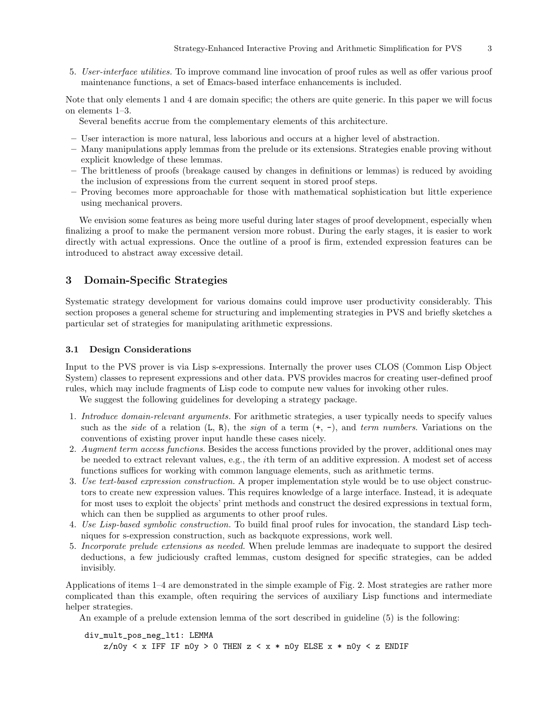5. User-interface utilities. To improve command line invocation of proof rules as well as offer various proof maintenance functions, a set of Emacs-based interface enhancements is included.

Note that only elements 1 and 4 are domain specific; the others are quite generic. In this paper we will focus on elements 1–3.

Several benefits accrue from the complementary elements of this architecture.

- User interaction is more natural, less laborious and occurs at a higher level of abstraction.
- Many manipulations apply lemmas from the prelude or its extensions. Strategies enable proving without explicit knowledge of these lemmas.
- The brittleness of proofs (breakage caused by changes in definitions or lemmas) is reduced by avoiding the inclusion of expressions from the current sequent in stored proof steps.
- Proving becomes more approachable for those with mathematical sophistication but little experience using mechanical provers.

We envision some features as being more useful during later stages of proof development, especially when finalizing a proof to make the permanent version more robust. During the early stages, it is easier to work directly with actual expressions. Once the outline of a proof is firm, extended expression features can be introduced to abstract away excessive detail.

## 3 Domain-Specific Strategies

Systematic strategy development for various domains could improve user productivity considerably. This section proposes a general scheme for structuring and implementing strategies in PVS and briefly sketches a particular set of strategies for manipulating arithmetic expressions.

#### 3.1 Design Considerations

Input to the PVS prover is via Lisp s-expressions. Internally the prover uses CLOS (Common Lisp Object System) classes to represent expressions and other data. PVS provides macros for creating user-defined proof rules, which may include fragments of Lisp code to compute new values for invoking other rules.

We suggest the following guidelines for developing a strategy package.

- 1. Introduce domain-relevant arguments. For arithmetic strategies, a user typically needs to specify values such as the side of a relation  $(L, R)$ , the sign of a term  $(+, -)$ , and term numbers. Variations on the conventions of existing prover input handle these cases nicely.
- 2. Augment term access functions. Besides the access functions provided by the prover, additional ones may be needed to extract relevant values, e.g., the ith term of an additive expression. A modest set of access functions suffices for working with common language elements, such as arithmetic terms.
- 3. Use text-based expression construction. A proper implementation style would be to use object constructors to create new expression values. This requires knowledge of a large interface. Instead, it is adequate for most uses to exploit the objects' print methods and construct the desired expressions in textual form, which can then be supplied as arguments to other proof rules.
- 4. Use Lisp-based symbolic construction. To build final proof rules for invocation, the standard Lisp techniques for s-expression construction, such as backquote expressions, work well.
- 5. Incorporate prelude extensions as needed. When prelude lemmas are inadequate to support the desired deductions, a few judiciously crafted lemmas, custom designed for specific strategies, can be added invisibly.

Applications of items 1–4 are demonstrated in the simple example of Fig. 2. Most strategies are rather more complicated than this example, often requiring the services of auxiliary Lisp functions and intermediate helper strategies.

An example of a prelude extension lemma of the sort described in guideline (5) is the following:

div\_mult\_pos\_neg\_lt1: LEMMA  $z/n0y < x$  IFF IF  $n0y > 0$  THEN  $z < x * n0y$  ELSE  $x * n0y < z$  ENDIF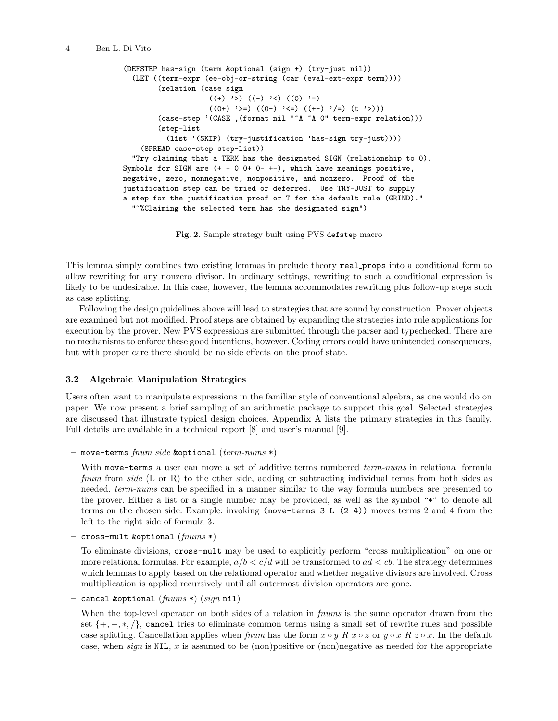```
(DEFSTEP has-sign (term &optional (sign +) (try-just nil))
  (LET ((term-expr (ee-obj-or-string (car (eval-ext-expr term))))
        (relation (case sign
                    ((+) '>) ((-) '<) ((0) '=)
                    ((0+) '>=) ((0-) '<=) ((+-) '/=) (t')))
        (case-step '(CASE ,(format nil "~A ~A 0" term-expr relation)))
        (step-list
          (list '(SKIP) (try-justification 'has-sign try-just))))
    (SPREAD case-step step-list))
  "Try claiming that a TERM has the designated SIGN (relationship to 0).
Symbols for SIGN are (+ - 0 0+ 0- +-), which have meanings positive,
negative, zero, nonnegative, nonpositive, and nonzero. Proof of the
justification step can be tried or deferred. Use TRY-JUST to supply
a step for the justification proof or T for the default rule (GRIND)."
  "~%Claiming the selected term has the designated sign")
```
Fig. 2. Sample strategy built using PVS defstep macro

This lemma simply combines two existing lemmas in prelude theory real props into a conditional form to allow rewriting for any nonzero divisor. In ordinary settings, rewriting to such a conditional expression is likely to be undesirable. In this case, however, the lemma accommodates rewriting plus follow-up steps such as case splitting.

Following the design guidelines above will lead to strategies that are sound by construction. Prover objects are examined but not modified. Proof steps are obtained by expanding the strategies into rule applications for execution by the prover. New PVS expressions are submitted through the parser and typechecked. There are no mechanisms to enforce these good intentions, however. Coding errors could have unintended consequences, but with proper care there should be no side effects on the proof state.

## 3.2 Algebraic Manipulation Strategies

Users often want to manipulate expressions in the familiar style of conventional algebra, as one would do on paper. We now present a brief sampling of an arithmetic package to support this goal. Selected strategies are discussed that illustrate typical design choices. Appendix A lists the primary strategies in this family. Full details are available in a technical report [8] and user's manual [9].

– move-terms fnum side &optional (term-nums  $*)$ 

With move-terms a user can move a set of additive terms numbered *term-nums* in relational formula from side (L or R) to the other side, adding or subtracting individual terms from both sides as needed. *term-nums* can be specified in a manner similar to the way formula numbers are presented to the prover. Either a list or a single number may be provided, as well as the symbol "\*" to denote all terms on the chosen side. Example: invoking (move-terms 3 L (2 4)) moves terms 2 and 4 from the left to the right side of formula 3.

 $-$  cross-mult &optional  $(fnums*)$ 

To eliminate divisions, cross-mult may be used to explicitly perform "cross multiplication" on one or more relational formulas. For example,  $a/b < c/d$  will be transformed to  $ad < cb$ . The strategy determines which lemmas to apply based on the relational operator and whether negative divisors are involved. Cross multiplication is applied recursively until all outermost division operators are gone.

– cancel &optional  $(fnums * (sign ni)$ 

When the top-level operator on both sides of a relation in *frums* is the same operator drawn from the set  $\{+,-,*,/\}$ , cancel tries to eliminate common terms using a small set of rewrite rules and possible case splitting. Cancellation applies when frum has the form  $x \circ y \circ R$  x  $\circ z$  or  $y \circ x \circ R$  z  $\circ x$ . In the default case, when  $sign$  is NIL, x is assumed to be (non)positive or (non)negative as needed for the appropriate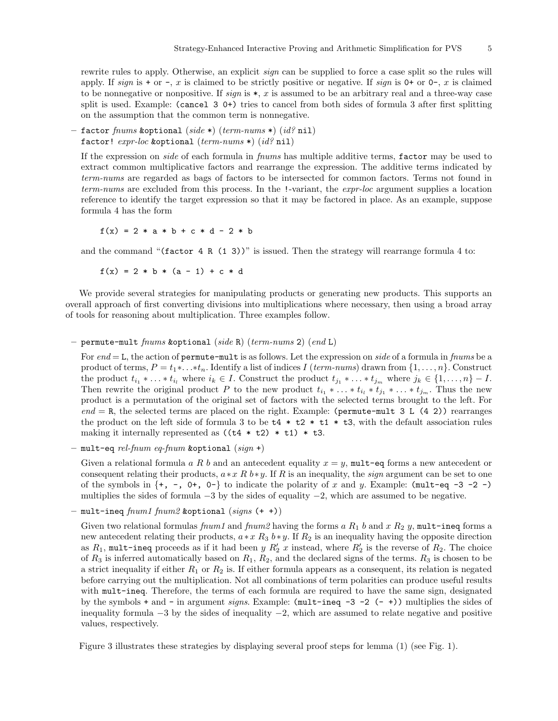rewrite rules to apply. Otherwise, an explicit *sign* can be supplied to force a case split so the rules will apply. If sign is  $+$  or  $-$ , x is claimed to be strictly positive or negative. If sign is  $0+$  or  $0-$ , x is claimed to be nonnegative or nonpositive. If  $sign$  is  $*, x$  is assumed to be an arbitrary real and a three-way case split is used. Example: (cancel 3 0+) tries to cancel from both sides of formula 3 after first splitting on the assumption that the common term is nonnegative.

 $-$  factor fnums &optional (side \*) (term-nums \*) (id? nil) factor!  $expr-loc$  & soptional  $(term-nums*)$   $(id?$  nil)

If the expression on side of each formula in fnums has multiple additive terms, factor may be used to extract common multiplicative factors and rearrange the expression. The additive terms indicated by term-nums are regarded as bags of factors to be intersected for common factors. Terms not found in term-nums are excluded from this process. In the !-variant, the *expr-loc* argument supplies a location reference to identify the target expression so that it may be factored in place. As an example, suppose formula 4 has the form

 $f(x) = 2 * a * b + c * d - 2 * b$ 

and the command "(factor  $4 \t R (1 \t 3)$ )" is issued. Then the strategy will rearrange formula  $4$  to:

 $f(x) = 2 * b * (a - 1) + c * d$ 

We provide several strategies for manipulating products or generating new products. This supports an overall approach of first converting divisions into multiplications where necessary, then using a broad array of tools for reasoning about multiplication. Three examples follow.

 $-$  permute-mult fnums &optional (side R) (term-nums 2) (end L)

For  $end = L$ , the action of permute-mult is as follows. Let the expression on side of a formula in frums be a product of terms,  $P = t_1 * \ldots * t_n$ . Identify a list of indices I (term-nums) drawn from  $\{1, \ldots, n\}$ . Construct the product  $t_{i_1} * \ldots * t_{i_l}$  where  $i_k \in I$ . Construct the product  $t_{j_1} * \ldots * t_{j_m}$  where  $j_k \in \{1, \ldots, n\} - I$ . Then rewrite the original product P to the new product  $t_{i_1} * \ldots * t_{i_l} * t_{j_1} * \ldots * t_{j_m}$ . Thus the new product is a permutation of the original set of factors with the selected terms brought to the left. For  $end = R$ , the selected terms are placed on the right. Example: (permute-mult 3 L (4 2)) rearranges the product on the left side of formula 3 to be  $t4 * t2 * t1 * t3$ , with the default association rules making it internally represented as  $((t4 * t2) * t1) * t3$ .

 $-$  mult-eq rel-fnum eq-fnum &optional (sign +)

Given a relational formula a R b and an antecedent equality  $x = y$ , mult-eq forms a new antecedent or consequent relating their products,  $a * x R b * y$ . If R is an inequality, the *sign* argument can be set to one of the symbols in  $\{+, -, 0+, 0-\}$  to indicate the polarity of x and y. Example: (mult-eq -3 -2 -) multiplies the sides of formula −3 by the sides of equality −2, which are assumed to be negative.

mult-ineq  $fnum1 fnum2$  &optional  $(signs (+ +))$ 

Given two relational formulas formulas formal and forms a  $R_1$  b and  $x R_2$  y, mult-ineq forms a new antecedent relating their products,  $a * x R_3 b * y$ . If  $R_2$  is an inequality having the opposite direction as  $R_1$ , mult-ineq proceeds as if it had been  $y R_2' x$  instead, where  $R_2'$  is the reverse of  $R_2$ . The choice of  $R_3$  is inferred automatically based on  $R_1, R_2$ , and the declared signs of the terms.  $R_3$  is chosen to be a strict inequality if either  $R_1$  or  $R_2$  is. If either formula appears as a consequent, its relation is negated before carrying out the multiplication. Not all combinations of term polarities can produce useful results with mult-ineq. Therefore, the terms of each formula are required to have the same sign, designated by the symbols + and - in argument signs. Example: (mult-ineq  $-3 -2$  (-+)) multiplies the sides of inequality formula  $-3$  by the sides of inequality  $-2$ , which are assumed to relate negative and positive values, respectively.

Figure 3 illustrates these strategies by displaying several proof steps for lemma (1) (see Fig. 1).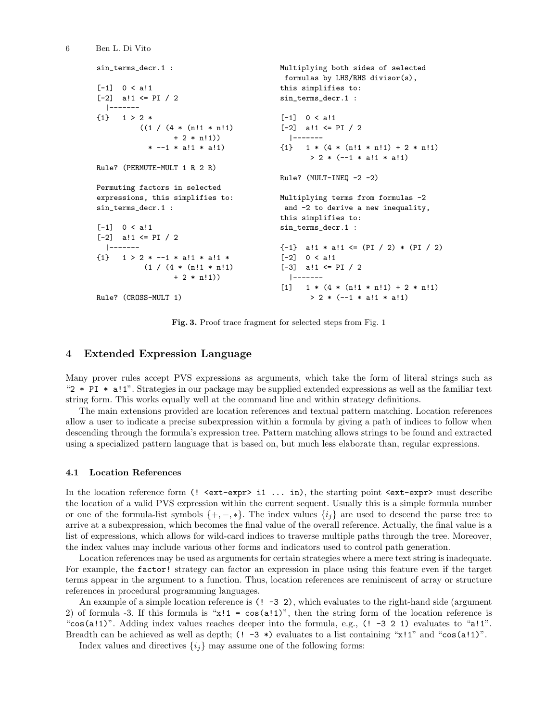```
sin_terms_decr.1 :
[-1] 0 < a!1
[-2] a!1 <= PI / 2
  |-------
{1} 1 > 2 *
          ((1 / (4 * (n!1 * n!1))+ 2 * n!1))
            * --1 * a!1 * a!1)
Rule? (PERMUTE-MULT 1 R 2 R)
Permuting factors in selected
expressions, this simplifies to:
sin_terms_decr.1 :
[-1] 0 < a!1
[-2] a!1 <= PI / 2
 |-------
{1} 1 > 2 * --1 * a!1 * a!1 *
           (1 / (4 * (n!1 * n!1))+ 2 * n!1)Rule? (CROSS-MULT 1)
                                          Multiplying both sides of selected
                                           formulas by LHS/RHS divisor(s),
                                           this simplifies to:
                                          sin_terms_decr.1 :
                                           [-1] 0 < a!1
                                           [-2] a!1 \leq PI / 2
                                            |-------
                                           {1} 1 * (4 * (n!1 * n!1) + 2 * n!1)> 2 * (-1 * a!1 * a!1)Rule? (MULT-INEQ -2 -2)
                                          Multiplying terms from formulas -2
                                           and -2 to derive a new inequality,
                                          this simplifies to:
                                          sin_terms_decr.1 :
                                           {-1} a!1 * a!1 <= (PI / 2) * (PI / 2)
                                           [-2] 0 < a!1
                                           [-3] a!1 <= PI / 2
                                            |-------
                                           [1] 1 * (4 * (n!1 * n!1) + 2 * n!1)
                                                 > 2 * (-1 * a!1 * a!1)
```
Fig. 3. Proof trace fragment for selected steps from Fig. 1

## 4 Extended Expression Language

Many prover rules accept PVS expressions as arguments, which take the form of literal strings such as "2 \* PI \* a!1". Strategies in our package may be supplied extended expressions as well as the familiar text string form. This works equally well at the command line and within strategy definitions.

The main extensions provided are location references and textual pattern matching. Location references allow a user to indicate a precise subexpression within a formula by giving a path of indices to follow when descending through the formula's expression tree. Pattern matching allows strings to be found and extracted using a specialized pattern language that is based on, but much less elaborate than, regular expressions.

#### 4.1 Location References

6 Ben L. Di Vito

In the location reference form (! <ext-expr> i1 ... in), the starting point <ext-expr> must describe the location of a valid PVS expression within the current sequent. Usually this is a simple formula number or one of the formula-list symbols  $\{+,-,*\}$ . The index values  $\{i_j\}$  are used to descend the parse tree to arrive at a subexpression, which becomes the final value of the overall reference. Actually, the final value is a list of expressions, which allows for wild-card indices to traverse multiple paths through the tree. Moreover, the index values may include various other forms and indicators used to control path generation.

Location references may be used as arguments for certain strategies where a mere text string is inadequate. For example, the factor! strategy can factor an expression in place using this feature even if the target terms appear in the argument to a function. Thus, location references are reminiscent of array or structure references in procedural programming languages.

An example of a simple location reference is  $(! -3 2)$ , which evaluates to the right-hand side (argument 2) of formula -3. If this formula is " $x!1 = cos(a!1)$ ", then the string form of the location reference is "cos(a!1)". Adding index values reaches deeper into the formula, e.g.,  $(1 -3 2 1)$  evaluates to "a!1". Breadth can be achieved as well as depth;  $(! -3 \cdot)$  evaluates to a list containing "x!1" and "cos(a!1)".

Index values and directives  $\{i_j\}$  may assume one of the following forms: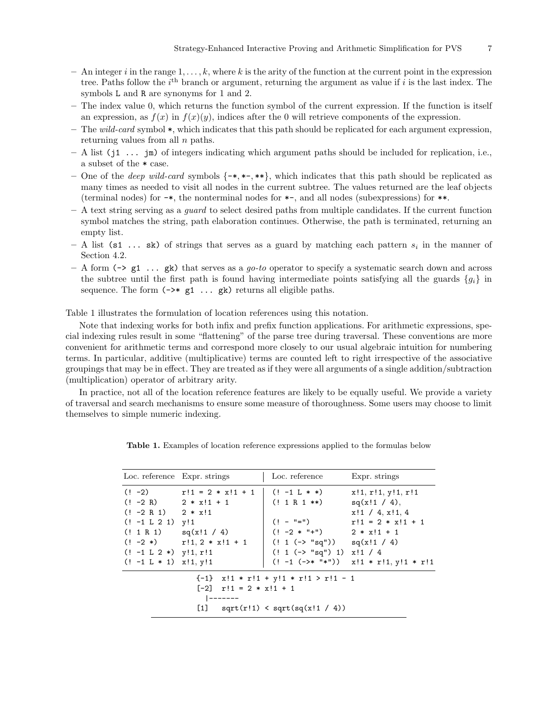- $-$  An integer i in the range  $1, \ldots, k$ , where k is the arity of the function at the current point in the expression tree. Paths follow the  $i<sup>th</sup>$  branch or argument, returning the argument as value if i is the last index. The symbols L and R are synonyms for 1 and 2.
- The index value 0, which returns the function symbol of the current expression. If the function is itself an expression, as  $f(x)$  in  $f(x)(y)$ , indices after the 0 will retrieve components of the expression.
- The wild-card symbol  $\ast$ , which indicates that this path should be replicated for each argument expression, returning values from all  $n$  paths.
- $A$  list (j1  $\ldots$  jm) of integers indicating which argument paths should be included for replication, i.e., a subset of the \* case.
- One of the *deep wild-card* symbols  $\{-*,*,*,*,*\}$ , which indicates that this path should be replicated as many times as needed to visit all nodes in the current subtree. The values returned are the leaf objects (terminal nodes) for -\*, the nonterminal nodes for \*-, and all nodes (subexpressions) for \*\*.
- $-$  A text string serving as a *guard* to select desired paths from multiple candidates. If the current function symbol matches the string, path elaboration continues. Otherwise, the path is terminated, returning an empty list.
- $-$  A list (s1 ... sk) of strings that serves as a guard by matching each pattern  $s_i$  in the manner of Section 4.2.
- A form ( $\geq$  g1 ... gk) that serves as a go-to operator to specify a systematic search down and across the subtree until the first path is found having intermediate points satisfying all the guards  ${g_i}$  in sequence. The form  $(\rightarrow * g1 \ldots gk)$  returns all eligible paths.

Table 1 illustrates the formulation of location references using this notation.

Note that indexing works for both infix and prefix function applications. For arithmetic expressions, special indexing rules result in some "flattening" of the parse tree during traversal. These conventions are more convenient for arithmetic terms and correspond more closely to our usual algebraic intuition for numbering terms. In particular, additive (multiplicative) terms are counted left to right irrespective of the associative groupings that may be in effect. They are treated as if they were all arguments of a single addition/subtraction (multiplication) operator of arbitrary arity.

In practice, not all of the location reference features are likely to be equally useful. We provide a variety of traversal and search mechanisms to ensure some measure of thoroughness. Some users may choose to limit themselves to simple numeric indexing.

|                                                                                                                                | Loc. reference Expr. strings                                                                                                           | Loc. reference                                                                                        | Expr. strings                                                                                                                    |  |
|--------------------------------------------------------------------------------------------------------------------------------|----------------------------------------------------------------------------------------------------------------------------------------|-------------------------------------------------------------------------------------------------------|----------------------------------------------------------------------------------------------------------------------------------|--|
| $(! -2 R)$ $2 * x!1 + 1$<br>$(! -2 R 1)$ $2 * x!1$<br>$(! -1 L 2 1)$ y!1<br>$(! -1 L 2 *)$ y!1, r!1<br>$(! -1 L * 1)$ x!1, y!1 | $(! -2)$ $r!1 = 2 * x!1 + 1$ $(! -1 L * *)$<br>$(! 1 R 1)$ sq(x!1 / 4)<br>$(1 - 2 *)$ $r!1, 2 * x!1 + 1$ $(1 (-> "sq"))$ $sq(x!1 / 4)$ | $(1 \t1 \tR \t1 **)$<br>$(! - "="")$<br>$(1 - 2 * 4)$ $2 * x!1 + 1$<br>  $(! 1 (-> "sq") 1) x! 1 / 4$ | x!1, r!1, y!1, r!1<br>$sq(x!1 / 4)$ ,<br>$x!1 / 4$ , $x!1$ , 4<br>$r!1 = 2 * x!1 + 1$<br>$(! -1 (-)* "**")$ x!1 * r!1, y!1 * r!1 |  |
| $\{-1\}$ x!1 * r!1 + y!1 * r!1 > r!1 - 1<br>$[-2]$ $r!1 = 2 * x!1 + 1$<br>  -------<br>[1] $sqrt(r!1) < sqrt(sq(x!1 / 4))$     |                                                                                                                                        |                                                                                                       |                                                                                                                                  |  |

Table 1. Examples of location reference expressions applied to the formulas below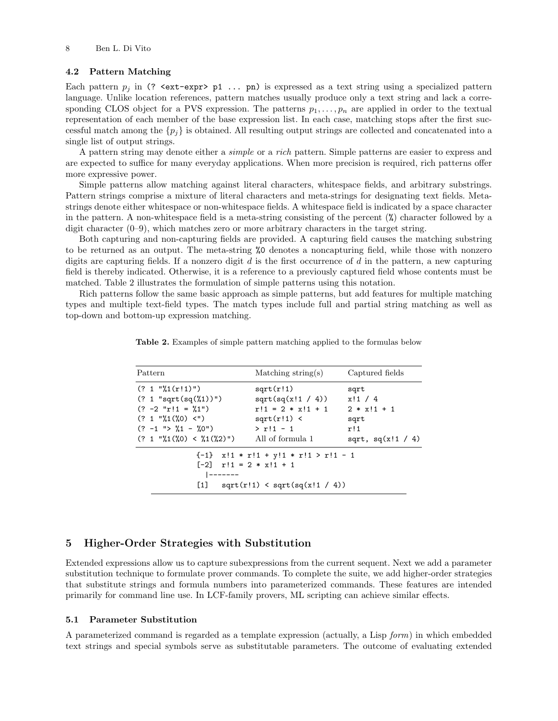#### 4.2 Pattern Matching

Each pattern  $p_i$  in (? <ext-expr> p1 ... pn) is expressed as a text string using a specialized pattern language. Unlike location references, pattern matches usually produce only a text string and lack a corresponding CLOS object for a PVS expression. The patterns  $p_1, \ldots, p_n$  are applied in order to the textual representation of each member of the base expression list. In each case, matching stops after the first successful match among the  $\{p_i\}$  is obtained. All resulting output strings are collected and concatenated into a single list of output strings.

A pattern string may denote either a simple or a rich pattern. Simple patterns are easier to express and are expected to suffice for many everyday applications. When more precision is required, rich patterns offer more expressive power.

Simple patterns allow matching against literal characters, whitespace fields, and arbitrary substrings. Pattern strings comprise a mixture of literal characters and meta-strings for designating text fields. Metastrings denote either whitespace or non-whitespace fields. A whitespace field is indicated by a space character in the pattern. A non-whitespace field is a meta-string consisting of the percent (%) character followed by a digit character  $(0-9)$ , which matches zero or more arbitrary characters in the target string.

Both capturing and non-capturing fields are provided. A capturing field causes the matching substring to be returned as an output. The meta-string %0 denotes a noncapturing field, while those with nonzero digits are capturing fields. If a nonzero digit  $d$  is the first occurrence of  $d$  in the pattern, a new capturing field is thereby indicated. Otherwise, it is a reference to a previously captured field whose contents must be matched. Table 2 illustrates the formulation of simple patterns using this notation.

Rich patterns follow the same basic approach as simple patterns, but add features for multiple matching types and multiple text-field types. The match types include full and partial string matching as well as top-down and bottom-up expression matching.

| Pattern                                                                                                                                     | $\text{Matching string(s)}$                                                                               | Captured fields                                                      |
|---------------------------------------------------------------------------------------------------------------------------------------------|-----------------------------------------------------------------------------------------------------------|----------------------------------------------------------------------|
| ( ? 1 "X1(r!1)")<br>$(? 1 "sqrt(sq(\%1))")$<br>$(? -2 "r!1 = %1")$<br>( ? 1 "X1(X0) <")<br>$(? -1 " > %1 - %0")$<br>(? 1 "X1(X0) < X1(X2)") | sqrt(r!1)<br>sqrt(sq(x!1 / 4))<br>$r!1 = 2 * x!1 + 1$<br>$sqrt(r!1)$ <<br>$> r!1 - 1$<br>All of formula 1 | sqrt<br>x!1/4<br>$2 * x!1 + 1$<br>sqrt<br>r!1<br>sqrt, $sq(x!1 / 4)$ |
| $[-2]$ $r!1 = 2 * x!1 + 1$                                                                                                                  | $\{-1\}$ x!1 * r!1 + y!1 * r!1 > r!1 - 1<br>[1] $sqrt(r!1) < sqrt(sq(x!1 / 4))$                           |                                                                      |

Table 2. Examples of simple pattern matching applied to the formulas below

## 5 Higher-Order Strategies with Substitution

Extended expressions allow us to capture subexpressions from the current sequent. Next we add a parameter substitution technique to formulate prover commands. To complete the suite, we add higher-order strategies that substitute strings and formula numbers into parameterized commands. These features are intended primarily for command line use. In LCF-family provers, ML scripting can achieve similar effects.

#### 5.1 Parameter Substitution

A parameterized command is regarded as a template expression (actually, a Lisp form) in which embedded text strings and special symbols serve as substitutable parameters. The outcome of evaluating extended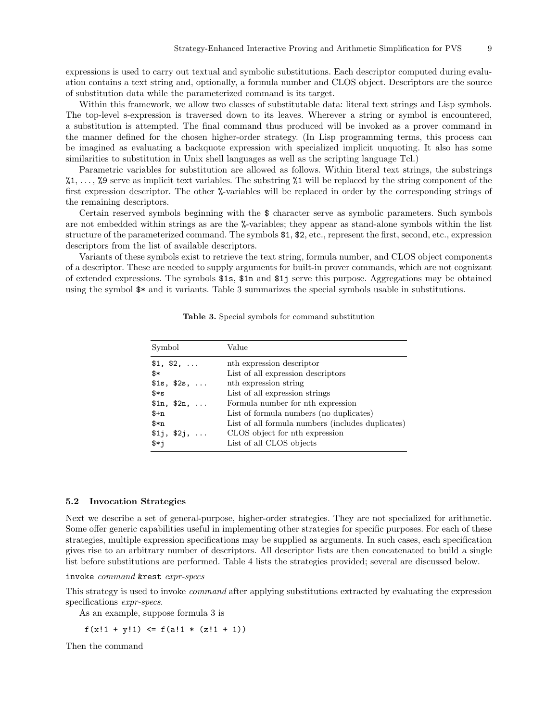expressions is used to carry out textual and symbolic substitutions. Each descriptor computed during evaluation contains a text string and, optionally, a formula number and CLOS object. Descriptors are the source of substitution data while the parameterized command is its target.

Within this framework, we allow two classes of substitutable data: literal text strings and Lisp symbols. The top-level s-expression is traversed down to its leaves. Wherever a string or symbol is encountered, a substitution is attempted. The final command thus produced will be invoked as a prover command in the manner defined for the chosen higher-order strategy. (In Lisp programming terms, this process can be imagined as evaluating a backquote expression with specialized implicit unquoting. It also has some similarities to substitution in Unix shell languages as well as the scripting language Tcl.)

Parametric variables for substitution are allowed as follows. Within literal text strings, the substrings  $\lambda_1, \ldots, \lambda_9$  serve as implicit text variables. The substring  $\lambda_1$  will be replaced by the string component of the first expression descriptor. The other %-variables will be replaced in order by the corresponding strings of the remaining descriptors.

Certain reserved symbols beginning with the \$ character serve as symbolic parameters. Such symbols are not embedded within strings as are the %-variables; they appear as stand-alone symbols within the list structure of the parameterized command. The symbols \$1, \$2, etc., represent the first, second, etc., expression descriptors from the list of available descriptors.

Variants of these symbols exist to retrieve the text string, formula number, and CLOS object components of a descriptor. These are needed to supply arguments for built-in prover commands, which are not cognizant of extended expressions. The symbols \$1s, \$1n and \$1j serve this purpose. Aggregations may be obtained using the symbol \$\* and it variants. Table 3 summarizes the special symbols usable in substitutions.

| Symbol        | Value                                             |
|---------------|---------------------------------------------------|
| \$1, \$2,     | nth expression descriptor                         |
| \$*           | List of all expression descriptors                |
| \$1s, \$2s,   | nth expression string                             |
| *s            | List of all expression strings                    |
| \$1n, \$2n,   | Formula number for nth expression                 |
| $_{4+n}$      | List of formula numbers (no duplicates)           |
| $\frac{1}{2}$ | List of all formula numbers (includes duplicates) |
| \$1j, \$2j,   | CLOS object for nth expression                    |
| \$*i          | List of all CLOS objects                          |

Table 3. Special symbols for command substitution

#### 5.2 Invocation Strategies

Next we describe a set of general-purpose, higher-order strategies. They are not specialized for arithmetic. Some offer generic capabilities useful in implementing other strategies for specific purposes. For each of these strategies, multiple expression specifications may be supplied as arguments. In such cases, each specification gives rise to an arbitrary number of descriptors. All descriptor lists are then concatenated to build a single list before substitutions are performed. Table 4 lists the strategies provided; several are discussed below.

invoke command &rest expr-specs

This strategy is used to invoke command after applying substitutions extracted by evaluating the expression specifications expr-specs.

As an example, suppose formula 3 is

 $f(x!1 + y!1) \le f(a!1 * (z!1 + 1))$ 

Then the command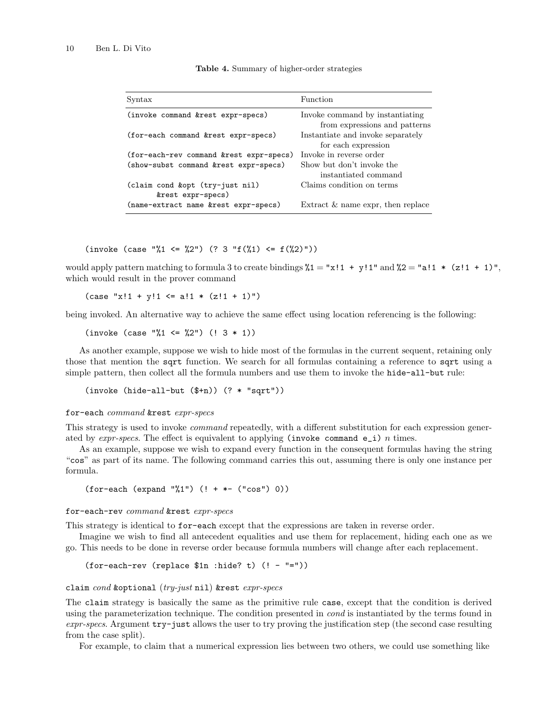| Syntax                                  | Function                                                         |  |  |
|-----------------------------------------|------------------------------------------------------------------|--|--|
| (invoke command &rest expr-specs)       | Invoke command by instantiating<br>from expressions and patterns |  |  |
| (for-each command &rest expr-specs)     | Instantiate and invoke separately<br>for each expression         |  |  |
| (for-each-rev command &rest expr-specs) | Invoke in reverse order                                          |  |  |
| (show-subst command &rest expr-specs)   | Show but don't invoke the                                        |  |  |
|                                         | instantiated command                                             |  |  |
| (claim cond &opt (try-just nil)         | Claims condition on terms                                        |  |  |
| &rest expr-specs)                       |                                                                  |  |  |
| (name-extract name &rest expr-specs)    | Extract $\&$ name expr, then replace                             |  |  |

|  |  |  | Table 4. Summary of higher-order strategies |  |
|--|--|--|---------------------------------------------|--|
|--|--|--|---------------------------------------------|--|

(invoke (case "%1 <= %2") (? 3 "f(%1) <=  $f(\%2)$ "))

would apply pattern matching to formula 3 to create bindings  $\frac{9}{1} = \frac{\pi}{1} + \frac{\pi}{1}$  and  $\frac{9}{2} = \frac{\pi}{1} \cdot \frac{\pi}{1} + \frac{\pi}{1}$ , which would result in the prover command

 $(\text{case "x!1 + y!1 \leq a!1 * (z!1 + 1)")}$ 

being invoked. An alternative way to achieve the same effect using location referencing is the following:

 $(invoke (case "11 <= %2") (1 3 * 1))$ 

As another example, suppose we wish to hide most of the formulas in the current sequent, retaining only those that mention the sqrt function. We search for all formulas containing a reference to sqrt using a simple pattern, then collect all the formula numbers and use them to invoke the hide-all-but rule:

(invoke (hide-all-but (\$+n)) (? \* "sqrt"))

#### for-each command &rest expr-specs

This strategy is used to invoke *command* repeatedly, with a different substitution for each expression generated by  $\exp$ -specs. The effect is equivalent to applying (invoke command e\_i) n times.

As an example, suppose we wish to expand every function in the consequent formulas having the string "cos" as part of its name. The following command carries this out, assuming there is only one instance per formula.

(for-each (expand "%1") (! + \*- ("cos") 0))

#### for-each-rev command &rest expr-specs

This strategy is identical to for-each except that the expressions are taken in reverse order.

Imagine we wish to find all antecedent equalities and use them for replacement, hiding each one as we go. This needs to be done in reverse order because formula numbers will change after each replacement.

(for-each-rev (replace \$1n :hide? t) (! - "="))

claim cond &optional  $(try-just$  nil) &rest  $express$ 

The claim strategy is basically the same as the primitive rule case, except that the condition is derived using the parameterization technique. The condition presented in *cond* is instantiated by the terms found in expr-specs. Argument try-just allows the user to try proving the justification step (the second case resulting from the case split).

For example, to claim that a numerical expression lies between two others, we could use something like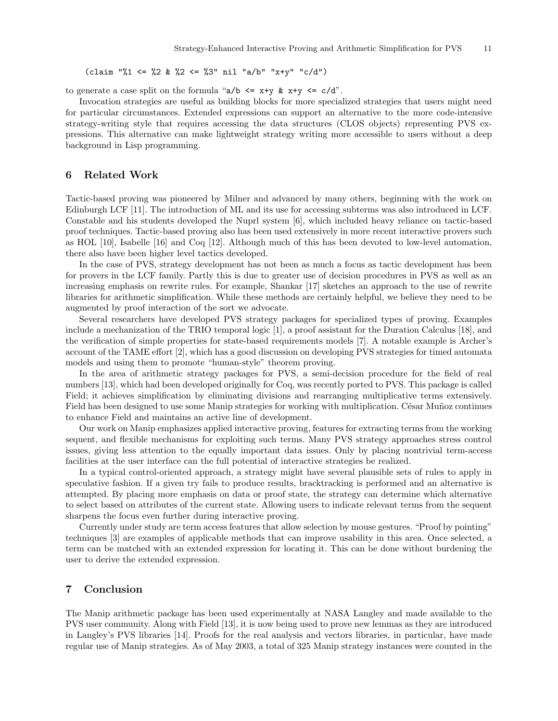(claim "%1 <= %2 & %2 <= %3" nil "a/b" "x+y" "c/d")

to generate a case split on the formula " $a/b \leq x+y \leq x+y \leq c/d$ ".

Invocation strategies are useful as building blocks for more specialized strategies that users might need for particular circumstances. Extended expressions can support an alternative to the more code-intensive strategy-writing style that requires accessing the data structures (CLOS objects) representing PVS expressions. This alternative can make lightweight strategy writing more accessible to users without a deep background in Lisp programming.

## 6 Related Work

Tactic-based proving was pioneered by Milner and advanced by many others, beginning with the work on Edinburgh LCF [11]. The introduction of ML and its use for accessing subterms was also introduced in LCF. Constable and his students developed the Nuprl system [6], which included heavy reliance on tactic-based proof techniques. Tactic-based proving also has been used extensively in more recent interactive provers such as HOL [10], Isabelle [16] and Coq [12]. Although much of this has been devoted to low-level automation, there also have been higher level tactics developed.

In the case of PVS, strategy development has not been as much a focus as tactic development has been for provers in the LCF family. Partly this is due to greater use of decision procedures in PVS as well as an increasing emphasis on rewrite rules. For example, Shankar [17] sketches an approach to the use of rewrite libraries for arithmetic simplification. While these methods are certainly helpful, we believe they need to be augmented by proof interaction of the sort we advocate.

Several researchers have developed PVS strategy packages for specialized types of proving. Examples include a mechanization of the TRIO temporal logic [1], a proof assistant for the Duration Calculus [18], and the verification of simple properties for state-based requirements models [7]. A notable example is Archer's account of the TAME effort [2], which has a good discussion on developing PVS strategies for timed automata models and using them to promote "human-style" theorem proving.

In the area of arithmetic strategy packages for PVS, a semi-decision procedure for the field of real numbers [13], which had been developed originally for Coq, was recently ported to PVS. This package is called Field; it achieves simplification by eliminating divisions and rearranging multiplicative terms extensively. Field has been designed to use some Manip strategies for working with multiplication. César Muñoz continues to enhance Field and maintains an active line of development.

Our work on Manip emphasizes applied interactive proving, features for extracting terms from the working sequent, and flexible mechanisms for exploiting such terms. Many PVS strategy approaches stress control issues, giving less attention to the equally important data issues. Only by placing nontrivial term-access facilities at the user interface can the full potential of interactive strategies be realized.

In a typical control-oriented approach, a strategy might have several plausible sets of rules to apply in speculative fashion. If a given try fails to produce results, bracktracking is performed and an alternative is attempted. By placing more emphasis on data or proof state, the strategy can determine which alternative to select based on attributes of the current state. Allowing users to indicate relevant terms from the sequent sharpens the focus even further during interactive proving.

Currently under study are term access features that allow selection by mouse gestures. "Proof by pointing" techniques [3] are examples of applicable methods that can improve usability in this area. Once selected, a term can be matched with an extended expression for locating it. This can be done without burdening the user to derive the extended expression.

## 7 Conclusion

The Manip arithmetic package has been used experimentally at NASA Langley and made available to the PVS user community. Along with Field [13], it is now being used to prove new lemmas as they are introduced in Langley's PVS libraries [14]. Proofs for the real analysis and vectors libraries, in particular, have made regular use of Manip strategies. As of May 2003, a total of 325 Manip strategy instances were counted in the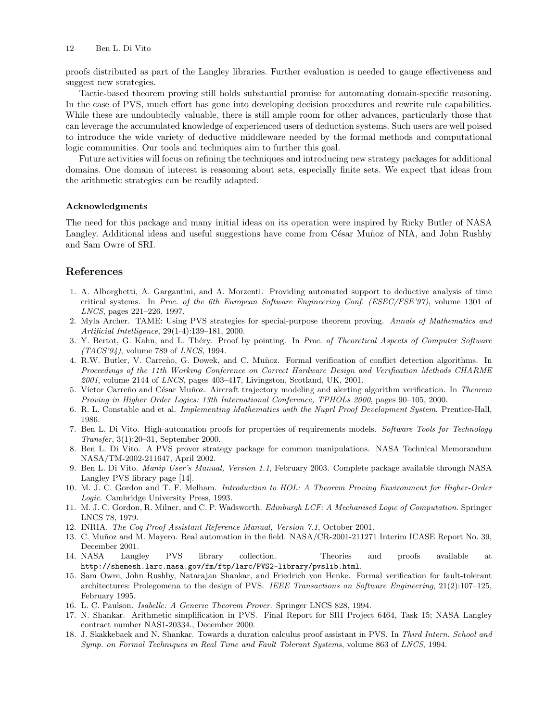proofs distributed as part of the Langley libraries. Further evaluation is needed to gauge effectiveness and suggest new strategies.

Tactic-based theorem proving still holds substantial promise for automating domain-specific reasoning. In the case of PVS, much effort has gone into developing decision procedures and rewrite rule capabilities. While these are undoubtedly valuable, there is still ample room for other advances, particularly those that can leverage the accumulated knowledge of experienced users of deduction systems. Such users are well poised to introduce the wide variety of deductive middleware needed by the formal methods and computational logic communities. Our tools and techniques aim to further this goal.

Future activities will focus on refining the techniques and introducing new strategy packages for additional domains. One domain of interest is reasoning about sets, especially finite sets. We expect that ideas from the arithmetic strategies can be readily adapted.

#### Acknowledgments

The need for this package and many initial ideas on its operation were inspired by Ricky Butler of NASA Langley. Additional ideas and useful suggestions have come from César Muñoz of NIA, and John Rushby and Sam Owre of SRI.

### References

- 1. A. Alborghetti, A. Gargantini, and A. Morzenti. Providing automated support to deductive analysis of time critical systems. In Proc. of the 6th European Software Engineering Conf. (ESEC/FSE'97), volume 1301 of LNCS, pages 221–226, 1997.
- 2. Myla Archer. TAME: Using PVS strategies for special-purpose theorem proving. Annals of Mathematics and Artificial Intelligence, 29(1-4):139–181, 2000.
- 3. Y. Bertot, G. Kahn, and L. Théry. Proof by pointing. In Proc. of Theoretical Aspects of Computer Software  $(TACS'94)$ , volume 789 of *LNCS*, 1994.
- 4. R.W. Butler, V. Carreño, G. Dowek, and C. Muñoz. Formal verification of conflict detection algorithms. In Proceedings of the 11th Working Conference on Correct Hardware Design and Verification Methods CHARME 2001, volume 2144 of LNCS, pages 403–417, Livingston, Scotland, UK, 2001.
- 5. Víctor Carreño and César Muñoz. Aircraft trajectory modeling and alerting algorithm verification. In Theorem Proving in Higher Order Logics: 13th International Conference, TPHOLs 2000, pages 90–105, 2000.
- 6. R. L. Constable and et al. Implementing Mathematics with the Nuprl Proof Development System. Prentice-Hall, 1986.
- 7. Ben L. Di Vito. High-automation proofs for properties of requirements models. Software Tools for Technology Transfer, 3(1):20–31, September 2000.
- 8. Ben L. Di Vito. A PVS prover strategy package for common manipulations. NASA Technical Memorandum NASA/TM-2002-211647, April 2002.
- 9. Ben L. Di Vito. Manip User's Manual, Version 1.1, February 2003. Complete package available through NASA Langley PVS library page [14].
- 10. M. J. C. Gordon and T. F. Melham. Introduction to HOL: A Theorem Proving Environment for Higher-Order Logic. Cambridge University Press, 1993.
- 11. M. J. C. Gordon, R. Milner, and C. P. Wadsworth. Edinburgh LCF: A Mechanised Logic of Computation. Springer LNCS 78, 1979.
- 12. INRIA. The Coq Proof Assistant Reference Manual, Version 7.1, October 2001.
- 13. C. Muñoz and M. Mayero. Real automation in the field. NASA/CR-2001-211271 Interim ICASE Report No. 39, December 2001.
- 14. NASA Langley PVS library collection. Theories and proofs available at http://shemesh.larc.nasa.gov/fm/ftp/larc/PVS2-library/pvslib.html.
- 15. Sam Owre, John Rushby, Natarajan Shankar, and Friedrich von Henke. Formal verification for fault-tolerant architectures: Prolegomena to the design of PVS. IEEE Transactions on Software Engineering, 21(2):107–125, February 1995.
- 16. L. C. Paulson. Isabelle: A Generic Theorem Prover. Springer LNCS 828, 1994.
- 17. N. Shankar. Arithmetic simplification in PVS. Final Report for SRI Project 6464, Task 15; NASA Langley contract number NAS1-20334., December 2000.
- 18. J. Skakkebaek and N. Shankar. Towards a duration calculus proof assistant in PVS. In Third Intern. School and Symp. on Formal Techniques in Real Time and Fault Tolerant Systems, volume 863 of LNCS, 1994.